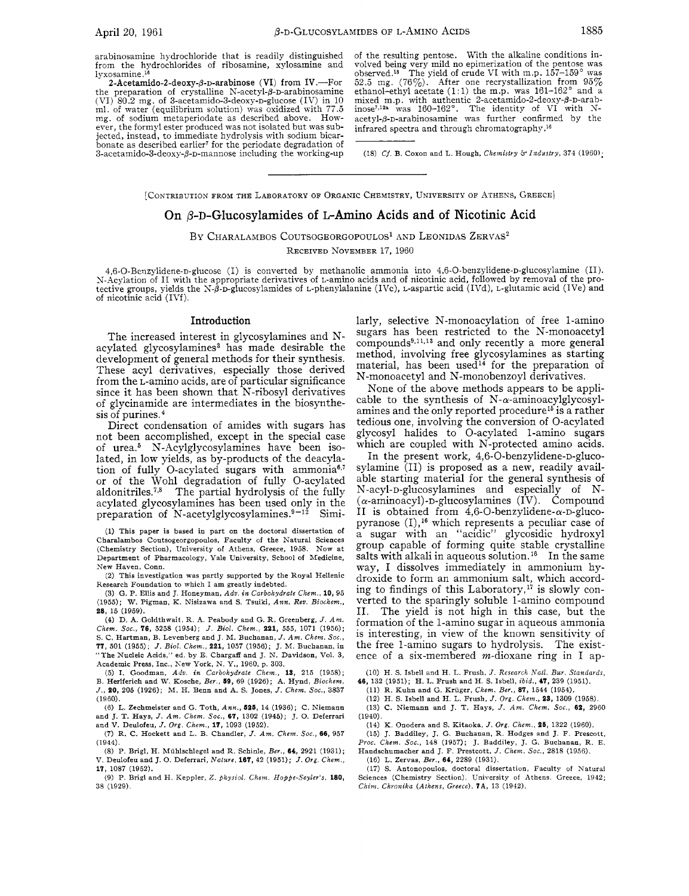arabinosamine hydrochloride that is readily distinguished from the hydrochlorides of ribosarnine, xylosamine and lyxosamine.<sup>16</sup>

2-Acetamido-2-deoxy- $\beta$ -D-arabinose (VI) from IV.--For the preparation of crystalline N-acetyl- $\beta$ -D-arabinosamine  $(VI)$  80.2 mg. of 3-acetamido-3-deoxy-p-glucose (IV) in 10 ml. of water (equilibrium solution) was oxidized with 77.5 mg. of sodium metaperiodate as described above. However, the formyl ester produced was not isolated but was subjected, instead, to immediate hydrolysis with sodium bicarbonate as described earlier' for the periodate degradation of  $3$ -acetamido- $3$ -deoxy- $\beta$ -p-mannose including the working-up

of the resulting pentose. With the alkaline conditions involved being very mill no epimerization of the pentose was  $52.5$  mg. (76%). After one recrystallization from  $95\%$  ethanol-ethyl acetate (1:1) the m.p. was  $161-162^\circ$  and a ethanol-ethyl acetate (1:1) the m.p. was 161-162° and a mixed m.p. with authentic 2-acetamido-2-deoxy- $\beta$ -D-arab-<br>inose<sup>7,12</sup>\* was 160-162°. The identity of VI with Nacetyl-p-D-arabinosamine was further confirmed by the infrared spectra and through chromatography.16

(18) *Cf.* B. Coxon and L. Hough, *Chemistry &Industry,* 374 (1960);

[CONTRIBUTION FROM THE LABORATORY OF ORGANIC CHEMISTRY, UNIVERSITY OF ATHENS, GREECE]

## On  $\beta$ -D-Glucosylamides of L-Amino Acids and of Nicotinic Acid

BY CHARALAMBOS COUTSOGEORGOPOULOS<sup>1</sup> AND LEONIDAS ZERVAS<sup>2</sup>

RECEIVED NOVEMBER 17, 1960

4,6-O-Benzylidene-n-glucose (I) is converted by methanolic ammonia into 4,6-O-benzylidene-n-glucosylamine (II). N-Acylation of I1 with the appropriate derivatives of L-amino acids and of nicotinic acid, followed by removal of the protective groups, yields the N- $\hat{\beta}$ -D-glucosylamides of L-phenylalanine (IVc), L-aspartic acid (IVd), L-glutamic acid (IVe) and of nicotinic acid (IVf).

## Introduction

The increased interest in glycosylamines and Nacylated glycosylamines<sup>3</sup> has made desirable the development of general methods for their synthesis. These acyl derivatives, especially those derived from the L-amino acids, are of particular significance since it has been shown that N-ribosyl derivatives of glycinamide are intermediates in the biosynthesis of purines.

Direct condensation of amides with sugars has not been accomplished, except in the special case of urea.6 N-Acylglycosylamines have been isolated, in low yields, as by-products of the deacylation of fully 0-acylated sugars with ammonia6,' or of the Wohl degradation of fully 0-acylated aldonitriles.<sup>7,8</sup> The partial hydrolysis of the fully acylated glycosylamines has been used only in the preparation of N-acetylglycosylamines.<sup>9-12</sup> Simi-

(1) This paper is based in part **on** the doctoral dissertation of Charalambos Coutsogeorgopoulos, Faculty of the Natural Sciences (Chemistry Section), University of Athens, Greece, 1958. Now at Department of Pharmacology, Yale University, School of Medicine, New Haven, Conn.

(2) This investigation was partly supported by the Royal Hellenic Research Foundation to which I am greatly indebted.

**(3)** G. P. Ellis and J. Honeyman, *Ado. in Carbohydrate Chem.,* **10,** 95 (1955); W. Pigman, K. Nisizawa and S. Tsuiki, *Ann. Rev. Biochem.,*  **28,** 15 (1959).

(4) D. **A.** Goldthwait, R. A. Peabody and G. R. Greenberg, *J. Am. Chem. Soc.,* **76,** 5258 (1954); *J. Bid. Chem.,* **221,** 555, 1071 (1956); S. C. Hartman, B. Levenberg and J. M. Buchanan, *J. Am. Chem. Soc.,*  **77,** 501 (1955); *J. Bid. Chem.,* **221,** 1057 (1956); J. M. Buchanan, in "The Nucleic Acids," ed. by E. Chargaff and J. N. Davidson, Vol. 3, Academic Press, Inc., New York, N. Y., 1960, p. 303.

(5) I. Goodman, *Adu. in Carbohydrate Chem.,* **13,** 215 (1958); **B.** Herlferich and **W.** Kosche, *Ber.,* **69,** 69 (1926); **A.** Hynd, *Biochem. J.,* **20,** 205 (1926); M. H. Benn and A. S. Jones, *J. Chem. Soc.,* 3837 (1960).

*(6)* L. Zechmeister and G. Toth, *Ann.,* **626,** 14 (1936); C. Niemann and J. T. Hays, *J. Am. Chem.* Soc., **67,** 1302 (1945); **J.** 0. Deferrari and V. Deulofeu, *J. OYE. Chem.,* **17,** 1093 (1952).

(7) R. C. Hockett and L. B. Chandler, *J. Am. Chem. Soc.,* **66,** 957 (1944).

*(8)* P. Brigl, H. Miihlschlegel and R. Schinle, *Ber.,* **64,** 2921 (1931); V. Deulofeu and J. 0. Deferrari, *Nature,* **167,** 42 (1951); *J.* Org. *Chem.,*  **17,** 1087 (1952).

(9) P. Brigl and H. Keppler, *2. physiol. Chem. Hoppe-Seyler's,* **180,**  38 (1929).

larly, selective N-monoacylation of free 1-amino sugars has been restricted to the N-monoacetyl compounds<sup>9,11,13</sup> and only recently a more general method, involving free glycosylamines as starting  ${\rm material,~has~been~used^{14}}$  for the preparation of N-monoacetyl and N-monobenzoyl derivatives.

None of the above methods appears to be applicable to the synthesis of  $N-\alpha$ -aminoacylglycosylamines and the only reported procedure<sup>15</sup> is a rather tedious one, involving the conversion of 0-acylated glycosyl halides to 0-acylated 1-amino sugars which are coupled with N-protected amino acids.

In the present work, 4,6-O-benzylidene-D-glucosylamine (11) is proposed as a new, readily available starting material for the general synthesis of N-acyl-D-glucosylamines and especially of N-  $(\alpha$ -aminoacyl)-D-glucosylamines (IV). Compound II is obtained from  $4,6$ -O-benzylidene- $\alpha$ -D-glucopyranose  $(I)$ ,<sup>16</sup> which represents a peculiar case of a sugar with an "acidic" glycosidic hydroxyl group capable of forming quite stable crystalline salts with alkali in aqueous solution.<sup>16</sup> In the same way, I dissolves immediately in ammonium hydroxide to form an ammonium salt, which according to findings of this Laboratory,<sup>17</sup> is slowly converted to the sparingly soluble 1-amino compound 11. The yield is not high in this case, but the formation of the 1-amino sugar in aqueous ammonia is interesting, in view of the known sensitivity of the free 1-amino sugars to hydrolysis. The existence of a six-membered  $m$ -dioxane ring in I ap-

(10) H. S. Isbell and H. L. Frush, *J. Research Natl. Bur. Standards,* 

**46,** 132 (1951); H. L. Frush and H. S. Isbell, *ibid.,* **47,** 239 (1951).

(11) R. Kuhn and G. Kriiger. *Chem. Ber.,* **87,** 1544 (1954).

(12) H. S. Ishell and H. L. Frush, *J.* Org. *Chem.,* **23,** 1309 (1958).

(13) C. Niemann and J. T. Hays, *J. Am. Chem.* Soc., **62,** 2960 (1940).

(14) K. Onodera and S. Kitaoka, *J.* org. *Chem.,* **26,** 1322 (1960).

(15) J. Baddiley, J. G. Buchanan, R. Hodges and J. F. Prescott, *Pi,oc. Chem. Soc.,* 148 (1957); J. Baddiley, J. G. Buchanan, R. E. Handschumacher and J. F. Prestcott, *J. Chem. Soc.,* 2818 (1958).

(18) L. Zervas, *Ber.,* **64,** 2289 (1931).

(17) S. Antonopoulos, doctoral dissertation, Faculty of Natural Sciences (Chemistry Section), University of Athens, Greece, 1942; *Chim. Chronika (Athens, Greece),* **?A, 13** (1942).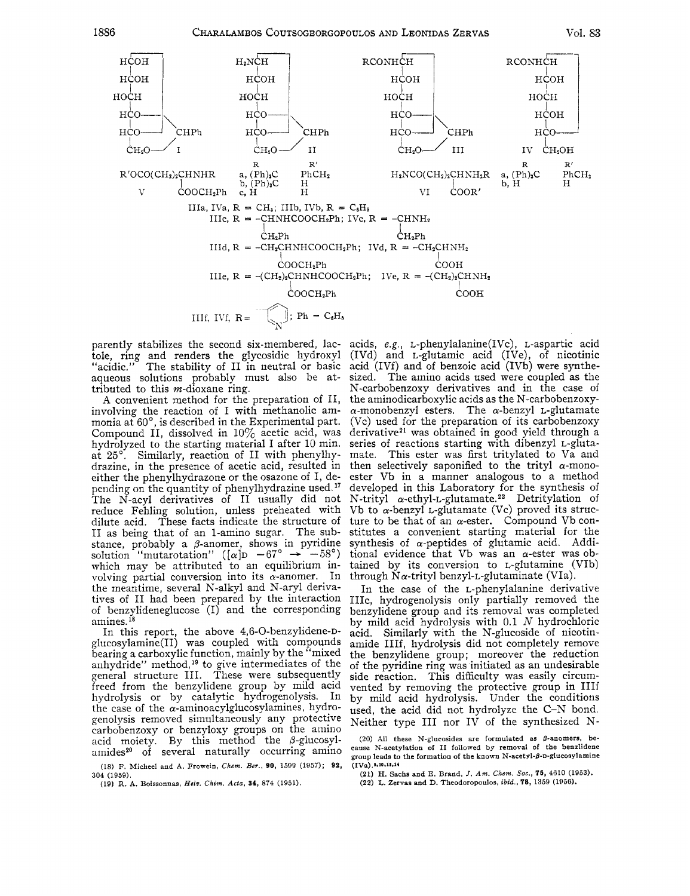

tole, ring and renders the glycosidic hydroxyl "acidic." The stability of II in neutral or basic acid (IVf) and of benzoic acid (IVb) were synthe-<br>aqueous solutions probably must also be at- sized. The amino acids used were coupled as the aqueous solutions probably must also be attributed to this m-dioxane ring. N-carbobenzoxy derivatives and in the case of

involving the reaction of I with methanolic am-  $\alpha$ -monobenzyl esters. The  $\alpha$ -benzyl L-glutamate monia at 60°, is described in the Experimental part. (Vc) used for the preparation of its carbobenzoxy monia at  $60^{\circ}$ , is described in the Experimental part. (Vc) used for the preparation of its carbobenzoxy<br>Compound II, dissolved in  $10\%$  acetic acid, was derivative<sup>21</sup> was obtained in good yield through a Compound II, dissolved in  $10\%$  acetic acid, was derivative<sup>21</sup> was obtained in good yield through a hydrolyzed to the starting material I after 10 min. series of reactions starting with dibenzyl L-glutahydrolyzed to the starting material I after 10 min. series of reactions starting with dibenzyl L-gluta-<br>at 25°. Similarly, reaction of II with phenylhy- mate. This ester was first tritylated to Va and at 25°. Similarly, reaction of II with phenylhy-<br>drazine, in the presence of acetic acid, resulted in either the phenylhydrazone or the osazone of I, de- ester Vb in a manner analogous to a method pending on the quantity of phenylhydrazine used.<sup>17</sup> developed in this Laboratory for the synthesis of pending on the quantity of phenylhydrazine used.<sup>17</sup> developed in this Laboratory for the synthesis of The N-acyl derivatives of II usually did not N-trityl  $\alpha$ -ethyl-L-glutamate.<sup>22</sup> Detritylation of The N-acyl derivatives of II usually did not N-trityl  $\alpha$ -ethyl-L-glutamate.<sup>22</sup> Detritylation of reduce Fehling solution, unless preheated with Vb to  $\alpha$ -benzyl L-glutamate (Vc) proved its strucreduce Fehling solution, unless preheated with dilute acid. These facts indicate the structure of ture to be that of an  $\alpha$ -ester. Compound Vb con-<br>II as being that of an 1-amino sugar. The sub-stitutes a convenient starting material for the stance, probably a  $\beta$ -anomer, shows in pyridine synthesis of  $\alpha$ -peptides of glutamic acid. Addi-<br>solution "mutarotation" ( $[\alpha]$ D -67°  $\rightarrow$  -58°) tional evidence that Vb was an  $\alpha$ -ester was ob-<br>which may be attribute which may be attributed to an equilibrium in- tained by its conversion to L-glutamine (VIb) volving partial conversion into its  $\alpha$ -anomer. In through N $\alpha$ -trityl benzyl-L-glutaminate (VIa). the meantime, several N-alkyl and N-aryl deriva- In the case of the L-phenylalanine derivative tives of II had been prepared by the interaction IIIc, hydrogenolysis only partially removed the of benzylideneglucose (I) and the corresponding benzylidene group and its removal was completed

glucosylamine(II) was coupled with compounds<br>bearing a carboxylic function, mainly by the "mixed anhydride" method,<sup>19</sup> to give intermediates of the  $\sigma$  of the pyridine ring was initiated as an undesirable general structure 111. These were subsequently side reaction. This difficulty was easily circumfreed from the benzylidene group by mild acid vented by removing the protective group in IIIf hydrolysis or by catalytic hYdrogenolYsis. In by mild acid hydrolysis. Under the conditions hydrolysis or by catalytic hydrogenolysis. In by mild acid hydrolysis. Under the conditions the case of the  $\alpha$ -aminoacylglucosylamines, hydro-used, the acid did not hydrolyze the C-N bond. genolysis removed simultaneously any protective Neither type III nor IV of the synthesized Ncarbobenzoxy or benzyloxy groups on the amino acid moiety. By this method the  $\beta$ -glucosyl- (20) All these N-glucosides are formulated as  $\beta$ -anomers, be-<br>amides<sup>20</sup> of several naturally occurring amino cause N-acetylation of II followed by removal of the benzliden

(18) **F. Micheel and A. Frowein,** *Chem. Ber.,* **90, 1599 (1957); 92, 304 (1959).** 

**(19) R. A. Uoissonnas,** *Hdv.* **Chrm.** *Ada,* **34, 874 (1951).** 

parently stabilizes the second six-membered, lac- acids, e.g., L-phenylalanine(IVc), L-aspartic acid tole, ring and renders the glycosidic hydroxyl (IVd) and L-glutamic acid (IVe), of nicotinic A convenient method for the preparation of II, the aminodicarboxylic acids as the N-carbobenzoxy-<br>volving the reaction of I with methanolic am- $\alpha$ -monobenzyl esters. The  $\alpha$ -benzyl L-glutamate then selectively saponified to the trityl  $\alpha$ -monostitutes a convenient starting material for the synthesis of  $\alpha$ -peptides of glutamic acid. Addi-

amines.<sup>18</sup> by mild acid hydrolysis with 0.1 N hydrochloric<br>In this report, the above 4,6-O-benzylidene-p- acid. Similarly with the N-glucoside of nicotin-<br>glucosylamine(II) was coupled with compounds amide IIIf, hydrolysi the benzylidene group; moreover the reduction

> group leads to the formation of the known N-acetyl- $\beta$ -D-glucosylamine  $(IVa)$ .\*.10,12,14

**(21) H. Sachs and E. Brand,** *J. Am. Chcm.* **SOC.,** *15,* **4610 (1953).** 

**(22) L. Zervas and D. Theodoropoulos,** *ibid.,* **78, 1359 (1956).**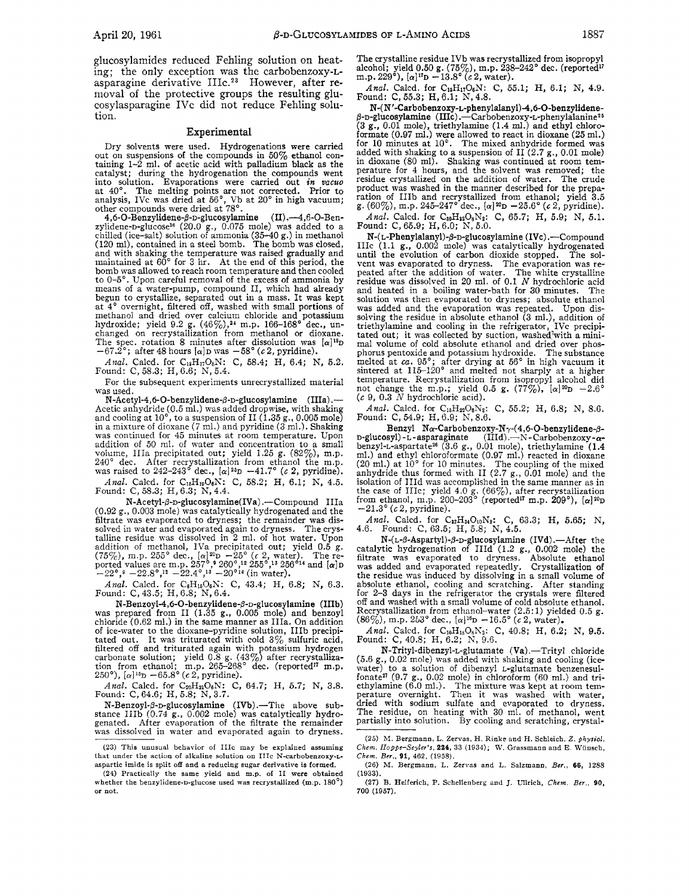glucosylamides reduced Fehling solution on heat-<br>ing: the only exception was the carbobenzoxy-Lasparagine derivative IIIc.<sup>23</sup> However, after removal of the protective groups the resulting glucosylasparagine IVc did not reduce Fehling solution.

## **Experimental**

Dry solvents were used. Hydrogenations were carried out on suspensions of the compounds in  $50\%$  ethanol containing  $1-\hat{2}$  ml. of acetic acid with palladium black as the catalyst; during the hydrogenation the compounds went into solution. Evaporations were carried out *in vacuo* at 40". The melting points are iiot corrected. Prior to analysis, IVc was dried at 56', Vb at 20" in high vacuum; other compounds were dried at 78'.

**4,6-0-Benzylidene-8-~-glucosylamine (II)** .4,6-0-Benzylidene-D-glucose16 (20.0 g., 0.075 mole) was added to a chilled (ice-salt) solution of ammonia (35-40 9.) in methanol (120 ml), contained in a steel bomb. The bomb was closed, and with shaking the temperature was raised gradually and maintained at 60' for 3 hr. At the end of this period, the bomb was allowed to reach room temperature and then cooled to 0-5". Upon careful removal of the excess of ammonia by means of a water-pump, compound 11, which had already means of a water-pump, compound II, which had already begun to crystallize, separated out in a mass. It was kept at 4' overnight, filtered off, washed with small portions of methanol and dried over calcium chloride and potassium hydroxide; yield 9.2 g. (46%),24 m.p. 166-168' dec., un- changed on recrystallization from methanol or dioxane. The spec. rotation 8 minutes after dissolution was  $\left[\alpha\right]^{18}D$  m  $-67.2^{\circ}$ ; after 48 hours  $\left[\alpha\right]D$  was  $-58^{\circ}$  (c 2, pyridine).

Anal. Calcd. for C<sub>18</sub>H<sub>17</sub>O<sub>5</sub>N: C, 58.4; H, 6.4; N, 5.2. Found: C, 58.3; H, 6.6; N, 5.4.

For the subsequent experiments unrecrystallized material was used.

**N-Acetyl-4,6-O-benzylidene-β-D-glucosylamine** (IIIa).--Acetic anhydride (0.5 ml.) was added dropwise, with shaking and cooling at *lo",* to a suspension of I1 (1.35 g., 0.005 mole) in a mixture of dioxane (7 ml.) and pyridine (3 nil.). Shaking was continued for 45 minutes at room temperature. Upon addition of 50 ml. of water and concentration to a small volume, IIIa precipitated out; yield 1.25 g. (82%), m.p. 240° dec. After recrystallization from ethanol the m.p. was raised to 242-243° dec.,  $[\alpha]^{25}D -41.7$ " (c 2, pyridine).

Anal. Calcd. for C<sub>16</sub>H<sub>19</sub>O<sub>6</sub>N: C, 58.2; H, 6.1; N, 4.5. Found: C, 58.3; H, 6.3; N, 4.4.

**N-Acetyl-p-D-glucosylamine(IVa).-Compound** IIIa (0.92 g., *0.003* mole) was catalytically hydrogenated and the filtrate was evaporated to dryness; the remainder was dissolved in water and evaporated again to dryness. The crystalline residue was dissolved in 2 ml. of hot water. Upon addition of methanol, IVa precipitated out; yield 0.5 g. ca<br>
(75%), m.p. 255° dec.,  $[\alpha]^{20}D - 25^{\circ}$  (c 2, water). The re-<br>
ported values are m.p. 257°,9 260°,<sup>12</sup> 255°,<sup>13</sup> 256°<sup>14</sup> and  $[\alpha]D$  w.<br>
-22°,<sup>3</sup> -22.8°,<sup>12</sup>

*Anal.* Calcd. for  $C_8H_{16}O_6N$ : C, 43.4; H, 6.8; N, 6.3. Found: C, 43.5; H, 6.8; N, 6.4.

**N-Benzoyl-4,6-O-benzylidene-β-D-glucosylamine (IIIb) was prepared from <b>II** (1.35 **g.,** 0.005 mole) and benzoyl chloride (0.62 ml.) in the same manner as IIIa. On addition of ice-water to the dioxane-pyridine solution, IIIb precipitated out. It was triturated with cold  $3\%$  sulfuric acid, It was triturated with cold  $3\%$  sulfuric acid, filtered off and triturated again with potassium hydrogen carbonate solution; yield 0.8 g. (43%) after recrystallization from ethanol; m.p. 265–268° dec. (reported<sup>17</sup> m.p. 250°), [a]<sup>14</sup>D -65.8° (*c* 2, pyridine).

*Anal.* Calcd. for C<sub>20</sub>H<sub>21</sub>O<sub>6</sub>N: C, 64.7; H, 5.7; N, 3.8. Found: C, 64.6; H, 5.8; N, 3.7.

N-Benzoyl- $\beta$ -D-glucosylamine (IVb).—The above sub-<br>stance IIIb (0.74 g., 0.002 mole) was catalytically hydrogenated. After evaporation of the filtrate the remainder was dissolved in water and evaporated again to dryness.

The crystalline residue IVb was recrystallized from isopropyl alcohol; yield 0.50 **g**. (75%), m.p. 238-242° dec. (reported m.p. 229°), [a]<sup>17</sup>D - 13.8° (c 2, water).

Anal. Calcd. for C<sub>13</sub>H<sub>17</sub>O<sub>6</sub>N: C, 55.1; H, 6.1; N, 4.9. Found: C, 55.3; H, 6.1; N, 4.8.

N-(N'-Carbobenzoxy-L-phenylalanyl)-4,6-O-benzylidene-<br>β-D-glucosylamine (IIIc) .--Carbobenzoxy-L-phenylalanine<sup>25</sup><br>(3 g., 0.01 mole), triethylamine (1.4 ml.) and ethyl chloroformate (0.97 **ml.)** were allowed to react in dioxane (25 ml.) for 10 minutes at 10'. The mixed anhydride formed was added with shaking to a suspension of I1 (2.7 g., 0.01 mole) in dioxane (80 ml). Shaking was continued at room temperature for 4 hours, and the solvent was removed; the residue crystallized on the addition of water. The crude product was washed in the manner described for the preparation of IIIb and recrystallized from ethanol; yield 3.5  $g$ . (60%), m.p. 245-247° dec.,  $[\alpha]^{20}D - 25.6^{\circ}$  (c 2, pyridine).

*Anal.* Calcd. for  $C_{30}H_{22}O_8N_2$ : C, 65.7; H, 5.9; N, 5.1. Found: C, 65.9; H, 6.0; N, 5.0.

**N-( L-Phenylalanyl)-@-D-glucosylamine** (IVc) .-Compound IIIc (1.1 *g.,* 0.002 mole) was catalytically hydrogenated until the evolution of carbon dioxide stopped. The solvent was evaporated to dryness. The evaporation was re- peated after the addition of water. The white crystalline residue was dissolved in 20 ml. of 0.1 *N* hydrochloric acid<br>and heated in a boiling water-bath for 30 minutes. The and heated in a boiling water-bath for 30 minutes. The solution was then evaporated to dryness; absolute ethanol was added and the evaporation was repeated. Upon dissolving the residue in absolute ethanol (3 **ml.),** addition of triethylamine and cooling in the refrigerator, IVc precipi-tated out; it was collected by suction, washed'with a minimal volume of cold absolute ethanol and dried over phos-<br>phorus pentoxide and potassium hydroxide. The substance phorus pentoxide and potassium hydroxide. melted at *ca.* 95'; after drying at 56' in high vacuum it sintered at 115-120' and melted not sharply at a higher temperature. Recrystallization from isopropyl alcohol did not change the m.p.; yield 0.5 g. (77%),  $[\alpha]^{20}D - 2.6$ <br>(*c* 9, 0.3 *N* hydrochloric acid).

*Anal.* Calcd. for C<sub>16</sub>H<sub>22</sub>O<sub>6</sub>N<sub>2</sub>: C, 55.2; H, 6.8; N, 8.6. Found: C, 54.9; H, 6.9; N, 8.6.

Benzyl Nα-Carbobenzoxy-N<sub>γ</sub>-(4,6-O-benzylidene-β-<br>D-glucosyl)-L-asparaginate (IIId).--N-Carbobenzoxy-αbenzyl-L-aspartate<sup>26</sup> (3.6 g., 0.01 mole), triethylamine (1.4 ml.) and ethyl chloroformate (0.97 ml.) reacted in dioxane (20 ml.) at 10° for 10 minutes. The coupling of the mixed anhydride thus formed with I1 (2.7 g., 0.01 mole) and the isolation of IIId was accomplished in the same manner as in the case of IIIc; yield 4.0 g. (66%), after recrystallization<br>from ethanol, m.p. 200–203° (reported<sup>1</sup> m.p. 209°), [*a*]20<sub>P</sub>  $-21.3^{\circ}$  (c 2, pyridine).

*Anal.* Calcd. for C<sub>12</sub>H<sub>34</sub>O<sub>10</sub>N<sub>2</sub>: C, 63.3; H, 5.65; N, 4.6. Found: C, 63.5; H, 5.8; N, 4.5.

**N-(L-P-Aspartyl)-B-D-glucosylamine (IVd)** .-After the catalytic hydrogenation of IIId **(1.2** g., 0.002 mole) the filtrate was evaporated to dryness. Absolute ethanol was added and evaporated repeatedly. Crystallization of the residue was induced by dissolving in a small volume of absolute ethanol, cooling and scratching. After standing for 2-3 days in the refrigerator the crystals were filtered off and washed with a small volume of cold absolute ethanol. Recrystallization from ethanol-water  $(2.5:1)$  yielded  $0.5$  g.  $(86\%)$ , m.p. 2b3° dec.,  $[\alpha]^{16}$ D  $-16.5$ °  $(c$  2, water).

*Anal.* Calcd. for  $C_{10}H_{18}O_8N_2$ : C, 40.8; H, 6.2; N, 9.5. Found: C, 40.8; H, 6.2; N, 9.6.

N-Trityl-dibenzyl-L-glutamate (Va).-Trityl chloride (5.6 g., 0.02 mole) was added with shaking and cooling (icewater) to a solution of dibenzyl L-glutamate benzenesulfonate<sup>27</sup> (9.7 g., 0.02 mole) in chloroform (60 ml.) and tri-<br>ethylamine (6.0 ml.). The mixture was kept at room tem-<br>perature overnight. Then it was washed with water,<br>dried with sodium sulfate and evaporated to dryness

**<sup>(23)</sup>** This unusual behavior of IIIc may be explained assuming that under the action of alkaline solution **on** IIIc N-carbobenzoxy-Laspartic imide is split off and a reducing sugar derivative is formed.

**<sup>(24)</sup>** Practically the same yield and **m.p. of** I1 were obtained whether the benzylidene-D-glucose used was recrystallized (m.p. **180') or** *not.* 

*<sup>(25)</sup> XI.* Bergmann, L. Zervas, H. **Rinke** and €€. Schleich, 2. *physiol. Chem. Hoppc-Seyler's,* **234,** 33 **(1984); W.** Grassmann and E **Wiinsch,**  *Chem. Ber.,* **91,** *462,* (1958).

*<sup>(26)</sup>* M. Bergmann, L. Zervas and L. Salzmann, *Bcr.,* **66,** 1288 **(1933).** 

**<sup>(27)</sup>** B. Helferich, P. Schellenberg and **I.** Ullrich, *Chcm. Bcr..* **90, 700 (1967).**